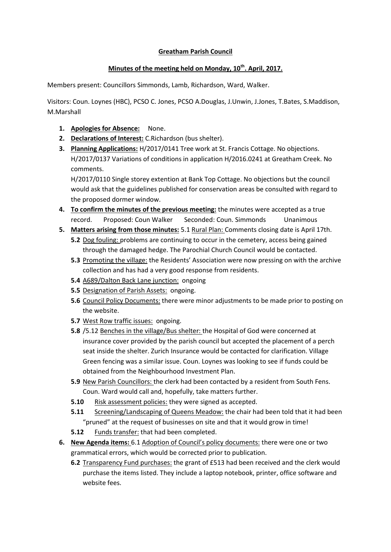## **Greatham Parish Council**

## **Minutes of the meeting held on Monday, 10th. April, 2017.**

Members present: Councillors Simmonds, Lamb, Richardson, Ward, Walker.

Visitors: Coun. Loynes (HBC), PCSO C. Jones, PCSO A.Douglas, J.Unwin, J.Jones, T.Bates, S.Maddison, M.Marshall

- **1. Apologies for Absence:** None.
- **2. Declarations of Interest:** C.Richardson (bus shelter).
- **3. Planning Applications:** H/2017/0141 Tree work at St. Francis Cottage. No objections. H/2017/0137 Variations of conditions in application H/2016.0241 at Greatham Creek. No comments.

H/2017/0110 Single storey extention at Bank Top Cottage. No objections but the council would ask that the guidelines published for conservation areas be consulted with regard to the proposed dormer window.

- **4. To confirm the minutes of the previous meeting:** the minutes were accepted as a true record. Proposed: Coun Walker Seconded: Coun. Simmonds Unanimous
- **5. Matters arising from those minutes:** 5.1 Rural Plan: Comments closing date is April 17th.
	- **5.2** Dog fouling: problems are continuing to occur in the cemetery, access being gained through the damaged hedge. The Parochial Church Council would be contacted.
	- **5.3** Promoting the village: the Residents' Association were now pressing on with the archive collection and has had a very good response from residents.
	- **5.4** A689/Dalton Back Lane junction: ongoing
	- **5.5** Designation of Parish Assets: ongoing.
	- **5.6** Council Policy Documents: there were minor adjustments to be made prior to posting on the website.
	- **5.7** West Row traffic issues: ongoing.
	- **5.8** /5.12 Benches in the village/Bus shelter: the Hospital of God were concerned at insurance cover provided by the parish council but accepted the placement of a perch seat inside the shelter. Zurich Insurance would be contacted for clarification. Village Green fencing was a similar issue. Coun. Loynes was looking to see if funds could be obtained from the Neighbourhood Investment Plan.
	- **5.9** New Parish Councillors: the clerk had been contacted by a resident from South Fens. Coun. Ward would call and, hopefully, take matters further.
	- **5.10** Risk assessment policies: they were signed as accepted.
	- **5.11** Screening/Landscaping of Queens Meadow: the chair had been told that it had been "pruned" at the request of businesses on site and that it would grow in time!
	- **5.12** Funds transfer: that had been completed.
- **6. New Agenda items:** 6.1 Adoption of Council's policy documents: there were one or two grammatical errors, which would be corrected prior to publication.
	- **6.2** Transparency Fund purchases: the grant of £513 had been received and the clerk would purchase the items listed. They include a laptop notebook, printer, office software and website fees.